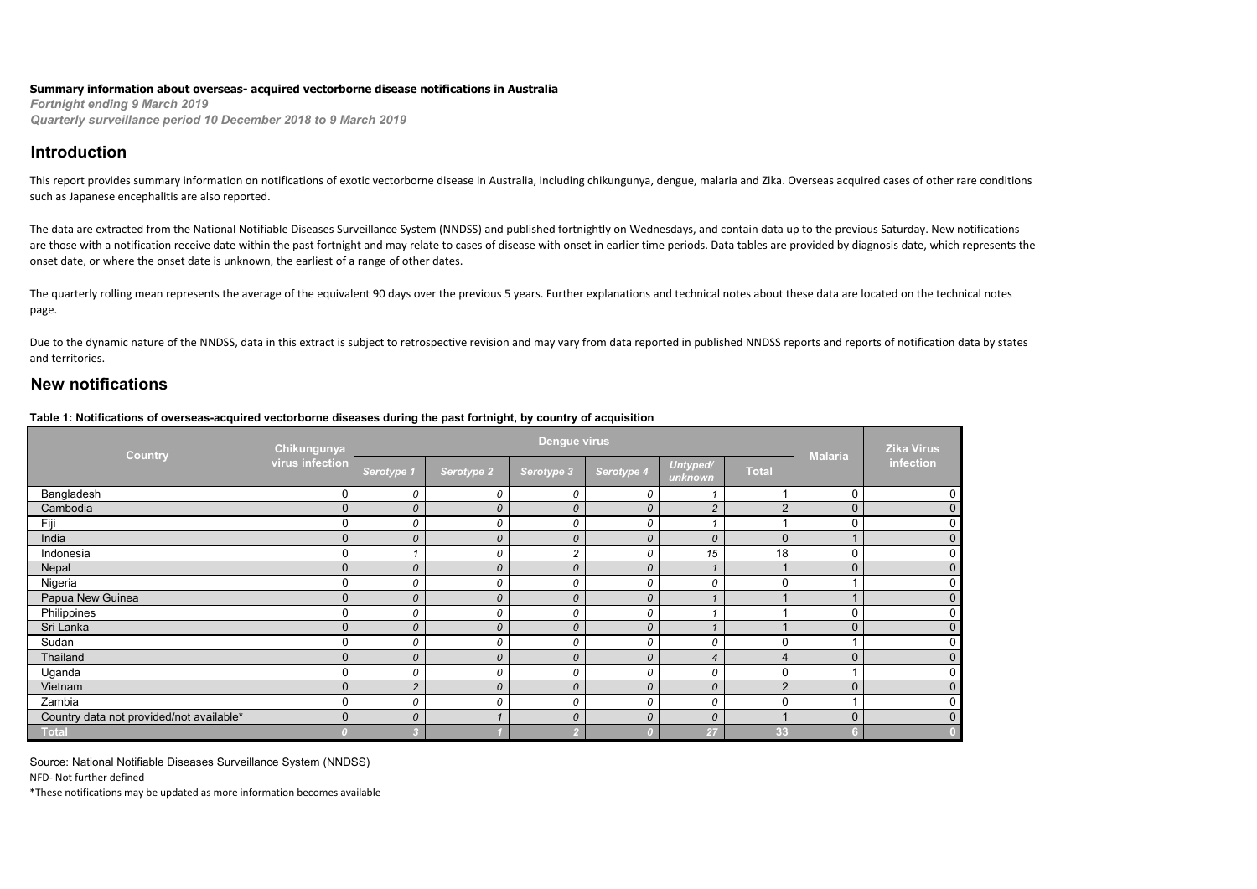### **Summary information about overseas- acquired vectorborne disease notifications in Australia**

*Fortnight ending 9 March 2019 Quarterly surveillance period 10 December 2018 to 9 March 2019*

### **Introduction**

This report provides summary information on notifications of exotic vectorborne disease in Australia, including chikungunya, dengue, malaria and Zika. Overseas acquired cases of other rare conditions such as Japanese encephalitis are also reported.

The data are extracted from the National Notifiable Diseases Surveillance System (NNDSS) and published fortnightly on Wednesdays, and contain data up to the previous Saturday. New notifications are those with a notification receive date within the past fortnight and may relate to cases of disease with onset in earlier time periods. Data tables are provided by diagnosis date, which represents the onset date, or where the onset date is unknown, the earliest of a range of other dates.

The quarterly rolling mean represents the average of the equivalent 90 days over the previous 5 years. Further explanations and technical notes about these data are located on the technical notes page.

Due to the dynamic nature of the NNDSS, data in this extract is subject to retrospective revision and may vary from data reported in published NNDSS reports and reports of notification data by states and territories.

## **New notifications**

#### **Table 1: Notifications of overseas-acquired vectorborne diseases during the past fortnight, by country of acquisition**

| Country                                  | Chikungunya     |                |               |                | <b>Malaria</b> | <b>Zika Virus</b>   |                |              |                     |
|------------------------------------------|-----------------|----------------|---------------|----------------|----------------|---------------------|----------------|--------------|---------------------|
|                                          | virus infection | Serotype 1     | Serotype 2    | Serotype 3     | Serotype 4     | Untyped/<br>unknown | <b>Total</b>   |              | infection           |
| Bangladesh                               | $\mathbf 0$     | 0              | 0             | 0              | 0              |                     |                | 0            | 0                   |
| Cambodia                                 | $\mathbf 0$     | $\mathcal{O}$  | $\mathcal{O}$ | 0              | $\mathcal{O}$  | $\overline{2}$      | $\overline{2}$ | $\mathbf 0$  | $\mathbf 0$         |
| Fiji                                     | $\mathbf 0$     | 0              | 0             | 0              | 0              |                     |                | 0            | 0                   |
| India                                    | $\mathbf 0$     | $\mathcal{O}$  | 0             | 0              | $\mathcal{O}$  | 0                   | $\mathbf{0}$   |              | $\mathbf 0$         |
| Indonesia                                | $\mathbf 0$     |                | 0             | $\overline{c}$ | 0              | 15                  | 18             | 0            | 0                   |
| Nepal                                    | $\Omega$        | $\mathcal{O}$  | $\mathcal{O}$ | $\mathcal{O}$  | $\mathcal{O}$  |                     |                | $\mathbf{0}$ | $\mathbf 0$         |
| Nigeria                                  | $\Omega$        | 0              | 0             | 0              | 0              | 0                   | $\mathbf 0$    |              | 0                   |
| Papua New Guinea                         | $\Omega$        | $\mathcal{O}$  | $\mathcal{O}$ | 0              | $\mathcal{O}$  |                     |                |              | $\mathsf{O}\xspace$ |
| Philippines                              | $\mathbf 0$     | 0              | 0             | 0              | 0              |                     |                | 0            | 0                   |
| Sri Lanka                                | $\Omega$        | $\mathcal{O}$  | $\mathcal{O}$ | 0              | $\mathcal{O}$  |                     |                | $\mathbf{0}$ | $\mathbf 0$         |
| Sudan                                    | $\Omega$        | 0              | 0             | 0              | 0              | 0                   | $\mathbf 0$    |              | 0                   |
| Thailand                                 | $\mathbf 0$     | 0              | 0             | 0              | $\mathcal{O}$  | $\overline{4}$      | $\overline{4}$ | $\mathbf 0$  | $\mathsf{O}\xspace$ |
| Uganda                                   | $\mathbf 0$     | 0              | 0             | 0              | 0              | 0                   | $\mathbf 0$    |              | 0                   |
| Vietnam                                  | $\mathbf 0$     | $\overline{2}$ | $\mathcal{O}$ | 0              | $\mathcal{O}$  | 0                   | $\overline{2}$ | $\mathbf{0}$ | $\mathbf 0$         |
| Zambia                                   | $\Omega$        | 0              | 0             | 0              | 0              | 0                   | $\mathbf 0$    |              | 0                   |
| Country data not provided/not available* | $\Omega$        | $\mathcal{O}$  |               | 0              | $\mathcal{O}$  | 0                   |                | $\mathbf{0}$ | $\mathbf 0$         |
| Total                                    |                 |                |               |                |                | 27                  | 33             |              |                     |

Source: National Notifiable Diseases Surveillance System (NNDSS)

NFD- Not further defined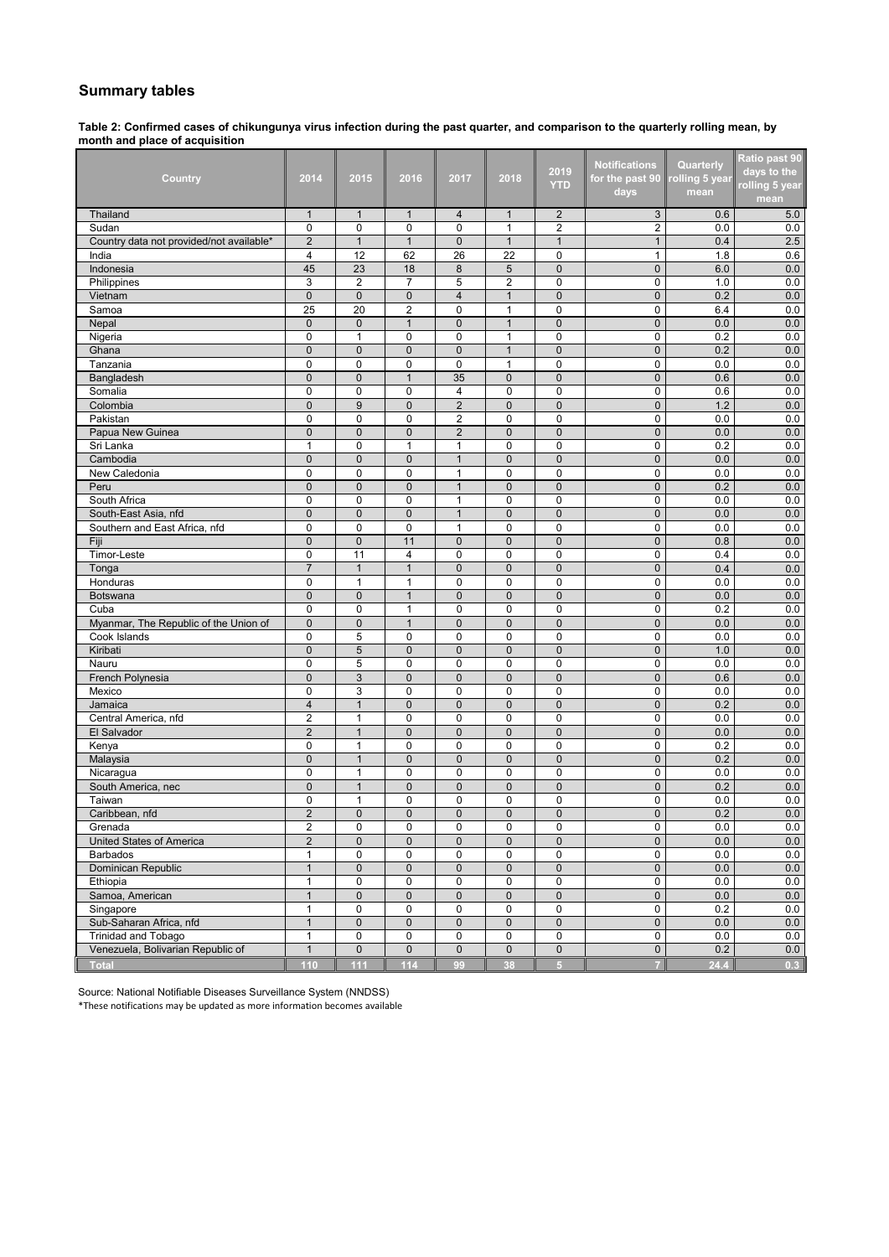## **Summary tables**

**Table 2: Confirmed cases of chikungunya virus infection during the past quarter, and comparison to the quarterly rolling mean, by month and place of acquisition**

|                                          |                |              |                |                |                | 2019           | <b>Notifications</b>    | Quarterly             | Ratio past 90<br>days to the |
|------------------------------------------|----------------|--------------|----------------|----------------|----------------|----------------|-------------------------|-----------------------|------------------------------|
| Country                                  | 2014           | 2015         | 2016           | 2017           | 2018           | <b>YTD</b>     | for the past 90<br>days | olling 5 year<br>mean | rolling 5 year<br>mean       |
| Thailand                                 | $\mathbf{1}$   | $\mathbf{1}$ | $\mathbf{1}$   | 4              | $\mathbf{1}$   | $\overline{2}$ | 3                       | 0.6                   | 5.0                          |
| Sudan                                    | $\mathbf 0$    | 0            | 0              | 0              | $\mathbf{1}$   | $\overline{2}$ | $\mathbf{2}$            | 0.0                   | 0.0                          |
| Country data not provided/not available* | $\overline{2}$ | $\mathbf{1}$ | $\mathbf{1}$   | 0              | $\mathbf{1}$   | $\mathbf{1}$   | $\mathbf{1}$            | 0.4                   | 2.5                          |
| India                                    | 4              | 12           | 62             | 26             | 22             | $\mathbf 0$    | $\mathbf{1}$            | 1.8                   | 0.6                          |
| Indonesia                                | 45             | 23           | 18             | 8              | 5              | $\mathbf{0}$   | $\mathbf{0}$            | 6.0                   | 0.0                          |
| Philippines                              | 3              | 2            | 7              | 5              | 2              | $\mathbf 0$    | 0                       | 1.0                   | 0.0                          |
| Vietnam                                  | $\mathbf{0}$   | $\mathbf{0}$ | $\pmb{0}$      | $\overline{4}$ | $\mathbf{1}$   | $\mathbf{0}$   | $\mathbf 0$             | 0.2                   | 0.0                          |
| Samoa                                    | 25             | 20           | $\overline{2}$ | 0              | $\mathbf{1}$   | $\mathbf 0$    | $\mathbf 0$             | 6.4                   | 0.0                          |
| Nepal                                    | $\mathbf{0}$   | $\pmb{0}$    | $\mathbf{1}$   | $\mathbf 0$    | $\mathbf{1}$   | $\pmb{0}$      | $\mathbf 0$             | 0.0                   | 0.0                          |
| Nigeria                                  | $\mathbf 0$    | $\mathbf{1}$ | $\mathbf 0$    | 0              | $\mathbf{1}$   | 0              | $\mathbf 0$             | 0.2                   | 0.0                          |
| Ghana                                    | $\mathbf 0$    | $\mathbf 0$  | $\mathbf{0}$   | 0              | $\mathbf{1}$   | $\pmb{0}$      | $\mathbf 0$             | 0.2                   | 0.0                          |
| Tanzania                                 | $\mathbf 0$    | 0            | 0              | 0              | 1              | 0              | 0                       | 0.0                   | 0.0                          |
| Bangladesh                               | $\mathbf{0}$   | 0            | $\mathbf{1}$   | 35             | $\pmb{0}$      | $\pmb{0}$      | $\mathbf 0$             | 0.6                   | 0.0                          |
| Somalia                                  | $\mathbf 0$    | 0            | 0              | 4              | $\mathbf 0$    | $\mathbf 0$    | $\mathbf 0$             | 0.6                   | 0.0                          |
| Colombia                                 | $\mathbf{0}$   | 9            | $\pmb{0}$      | $\overline{2}$ | $\mathbf 0$    | $\mathbf 0$    | $\mathbf 0$             | 1.2                   | 0.0                          |
| Pakistan                                 | $\Omega$       | 0            | $\mathbf 0$    | $\overline{2}$ | $\mathbf 0$    | $\mathbf 0$    | $\mathbf 0$             | 0.0                   | 0.0                          |
| Papua New Guinea                         | $\mathbf 0$    | $\mathbf{0}$ | $\overline{0}$ | $\overline{2}$ | $\mathbf{0}$   | $\mathbf 0$    | $\mathbf 0$             | 0.0                   | 0.0                          |
| Sri Lanka                                | 1              | 0            | $\mathbf{1}$   | $\mathbf{1}$   | 0              | $\mathbf 0$    | 0                       | 0.2                   | 0.0                          |
| Cambodia                                 | $\mathbf 0$    | $\mathbf 0$  | $\mathbf{0}$   | $\mathbf{1}$   | $\mathbf 0$    | $\mathbf 0$    | $\mathbf 0$             | 0.0                   | 0.0                          |
| New Caledonia                            | $\mathbf 0$    | 0            | $\mathbf 0$    | 1              | 0              | $\mathbf 0$    | $\mathbf 0$             | 0.0                   | 0.0                          |
| Peru                                     | $\mathbf 0$    | $\mathbf 0$  | $\mathbf{0}$   | $\mathbf{1}$   | $\mathbf 0$    | $\mathbf 0$    | $\mathbf 0$             | 0.2                   | 0.0                          |
| South Africa                             | $\mathbf 0$    | 0            | $\mathbf 0$    | $\mathbf{1}$   | $\mathbf 0$    | $\mathbf 0$    | $\mathbf 0$             | 0.0                   | 0.0                          |
| South-East Asia, nfd                     | $\overline{0}$ | $\mathbf 0$  | $\overline{0}$ | $\mathbf{1}$   | $\mathbf 0$    | $\mathbf 0$    | $\mathbf 0$             | 0.0                   | 0.0                          |
| Southern and East Africa, nfd            | $\mathbf 0$    | 0            | 0              | 1              | 0              | 0              | 0                       | 0.0                   | 0.0                          |
| Fiji                                     | $\mathbf{0}$   | $\mathbf{0}$ | 11             | $\mathbf{0}$   | $\mathbf 0$    | $\mathbf{0}$   | $\mathbf{0}$            | 0.8                   | 0.0                          |
| Timor-Leste                              | $\mathbf 0$    | 11           | $\overline{4}$ | 0              | $\mathbf 0$    | 0              | $\mathbf 0$             | 0.4                   | 0.0                          |
| Tonga                                    | $\overline{7}$ | $\mathbf{1}$ | $\mathbf{1}$   | 0              | $\mathbf 0$    | $\pmb{0}$      | $\mathbf 0$             | 0.4                   | 0.0                          |
| Honduras                                 | $\mathbf 0$    | $\mathbf{1}$ | $\mathbf{1}$   | 0              | $\mathbf 0$    | $\mathbf 0$    | $\mathbf 0$             | 0.0                   | 0.0                          |
| Botswana                                 | $\mathbf{0}$   | $\mathbf{0}$ | $\mathbf{1}$   | $\overline{0}$ | $\mathbf{0}$   | $\mathbf 0$    | $\mathbf{0}$            | 0.0                   | 0.0                          |
| Cuba                                     | $\mathbf 0$    | 0            | 1              | 0              | $\mathbf 0$    | $\mathbf 0$    | 0                       | 0.2                   | 0.0                          |
| Myanmar, The Republic of the Union of    | $\pmb{0}$      | $\pmb{0}$    | $\mathbf{1}$   | $\mathbf 0$    | $\mathbf 0$    | $\mathbf 0$    | $\mathbf{0}$            | 0.0                   | 0.0                          |
| Cook Islands                             | $\mathbf 0$    | 5            | 0              | 0              | 0              | $\mathbf 0$    | 0                       | 0.0                   | 0.0                          |
| Kiribati                                 | $\mathbf{0}$   | 5            | $\mathbf 0$    | $\mathbf 0$    | $\pmb{0}$      | $\mathbf 0$    | $\mathbf 0$             | 1.0                   | 0.0                          |
| Nauru                                    | $\mathbf 0$    | 5            | $\mathbf 0$    | 0              | $\mathbf 0$    | 0              | 0                       | 0.0                   | 0.0                          |
| French Polynesia                         | $\mathbf 0$    | 3            | $\mathbf 0$    | $\mathbf 0$    | $\bf 0$        | $\mathbf 0$    | $\mathbf 0$             | 0.6                   | 0.0                          |
| Mexico                                   | 0              | 3            | 0              | 0              | 0              | 0              | 0                       | 0.0                   | 0.0                          |
| Jamaica                                  | $\overline{4}$ | $\mathbf{1}$ | $\mathbf 0$    | $\overline{0}$ | $\mathbf 0$    | $\pmb{0}$      | $\pmb{0}$               | 0.2                   | 0.0                          |
| Central America, nfd                     | $\overline{2}$ | $\mathbf{1}$ | 0              | 0              | 0              | 0              | 0                       | 0.0                   | 0.0                          |
| El Salvador                              | $\overline{2}$ | $\mathbf{1}$ | $\mathbf 0$    | $\mathbf{0}$   | $\mathbf{0}$   | $\mathbf{0}$   | $\mathbf 0$             | 0.0                   | 0.0                          |
| Kenya                                    | $\mathbf 0$    | $\mathbf{1}$ | 0              | 0              | $\mathbf 0$    | 0              | $\mathbf 0$             | 0.2                   | 0.0                          |
| Malaysia                                 | $\mathbf{0}$   | $\mathbf{1}$ | $\mathbf{0}$   | $\overline{0}$ | $\mathbf 0$    | $\mathbf 0$    | $\mathbf 0$             | 0.2                   | 0.0                          |
| Nicaragua                                | $\Omega$       | $\mathbf{1}$ | $\mathbf 0$    | 0              | 0              | $\mathbf 0$    | $\mathbf 0$             | 0.0                   | 0.0                          |
| South America, nec                       | $\mathbf 0$    | $\mathbf{1}$ | $\mathbf 0$    | $\mathbf{0}$   | $\overline{0}$ | $\mathbf 0$    | $\overline{0}$          | 0.2                   | 0.0                          |
| Taiwan                                   | 0              | 1            | $\mathbf 0$    | 0              | 0              | $\mathbf 0$    | 0                       | 0.0                   | 0.0                          |
| Caribbean, nfd                           | $\overline{2}$ | $\mathbf{0}$ | $\overline{0}$ | $\overline{0}$ | $\overline{0}$ | $\mathbf 0$    | $\overline{0}$          | 0.2                   | 0.0                          |
| Grenada                                  | 2              | 0            | $\pmb{0}$      | 0              | 0              | 0              | $\overline{0}$          | 0.0                   | 0.0                          |
| <b>United States of America</b>          | $\overline{2}$ | $\mathbf 0$  | $\mathbf 0$    | $\mathbf 0$    | $\pmb{0}$      | $\mathbf 0$    | $\mathbf 0$             | 0.0                   | $0.0\,$                      |
| <b>Barbados</b>                          | 1              | 0            | 0              | 0              | $\mathsf 0$    | 0              | 0                       | 0.0                   | $0.0\,$                      |
| Dominican Republic                       | $\mathbf{1}$   | $\pmb{0}$    | $\mathbf 0$    | 0              | $\mathbf 0$    | 0              | $\mathbf 0$             | 0.0                   | 0.0                          |
| Ethiopia                                 | $\mathbf{1}$   | 0            | 0              | 0              | 0              | 0              | $\mathbf 0$             | 0.0                   | 0.0                          |
| Samoa, American                          | $\mathbf{1}$   | 0            | $\mathbf 0$    | 0              | $\mathbf 0$    | 0              | $\mathbf 0$             | 0.0                   | 0.0                          |
| Singapore                                | $\mathbf{1}$   | 0            | $\mathbf 0$    | $\pmb{0}$      | 0              | $\pmb{0}$      | 0                       | 0.2                   | 0.0                          |
| Sub-Saharan Africa, nfd                  | $\mathbf{1}$   | $\pmb{0}$    | $\mathbf 0$    | $\mathbf 0$    | $\mathbf 0$    | $\mathbf{0}$   | $\mathbf 0$             | 0.0                   | 0.0                          |
| Trinidad and Tobago                      | $\mathbf{1}$   | 0            | 0              | 0              | 0              | 0              | $\mathbf 0$             | 0.0                   | 0.0                          |
| Venezuela, Bolivarian Republic of        | $\mathbf{1}$   | $\pmb{0}$    | $\pmb{0}$      | $\pmb{0}$      | $\mathbf 0$    | $\pmb{0}$      | $\mathbf 0$             | 0.2                   | 0.0                          |
| <b>Total</b>                             | 110            | 111          | 114            | 99             | 38             | $\overline{5}$ | 7                       | 24.4                  | 0.3                          |

Source: National Notifiable Diseases Surveillance System (NNDSS)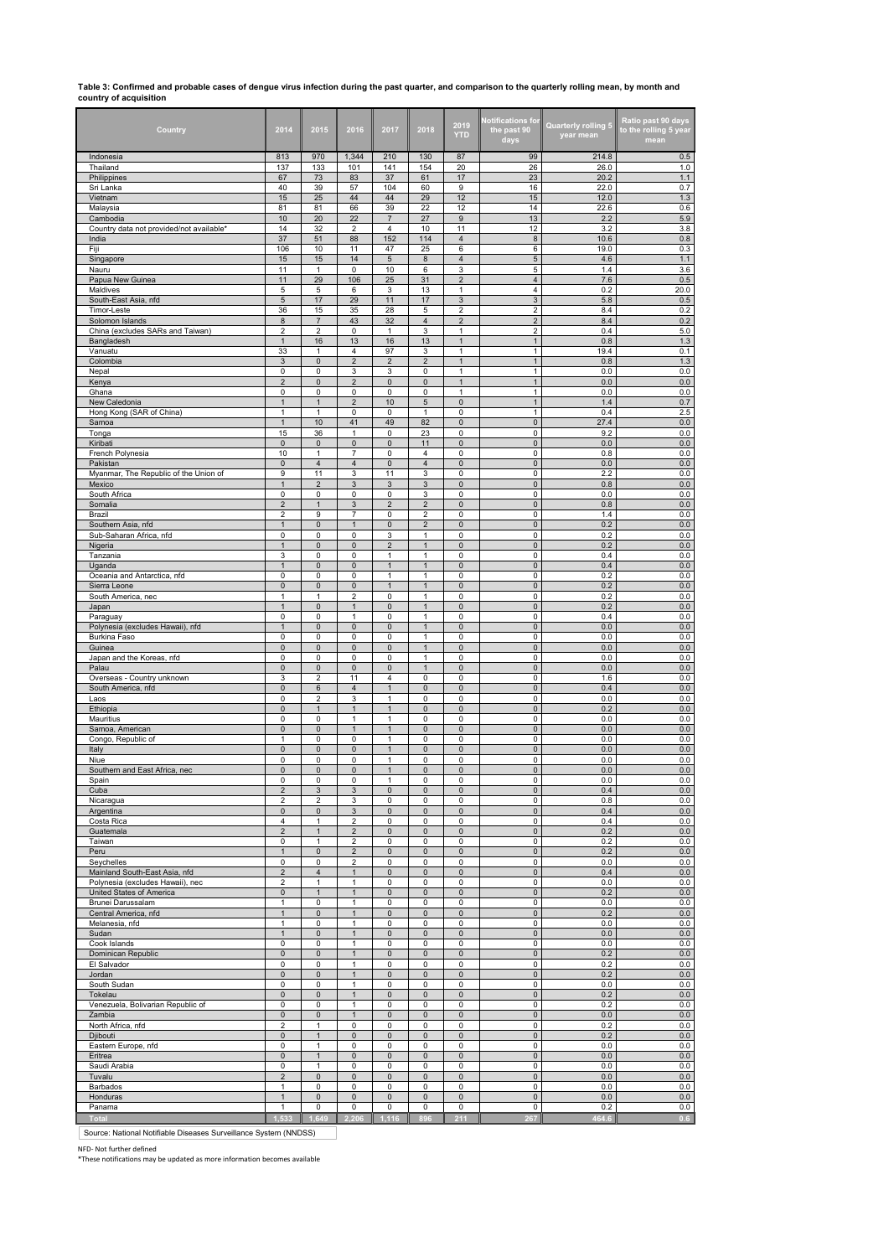# **Table 3: Confirmed and probable cases of dengue virus infection during the past quarter, and comparison to the quarterly rolling mean, by month and country of acquisition**

| Country                                                          | 2014                         | 2015                     | 2016                         | 2017                         | 2018                         | 2019<br>YTD                  | <b>Notifications for</b><br>the past 90<br>days | Quarterly rolling 5<br>year mean | Ratio past 90 days<br>to the rolling 5 year<br>mean |
|------------------------------------------------------------------|------------------------------|--------------------------|------------------------------|------------------------------|------------------------------|------------------------------|-------------------------------------------------|----------------------------------|-----------------------------------------------------|
| Indonesia                                                        | 813                          | 970                      | 1,344                        | 210                          | 130                          | 87                           | 99                                              | 214.8                            | 0.5                                                 |
| Thailand<br>Philippines                                          | 137<br>67                    | 133<br>73                | 101<br>83                    | 141<br>37                    | 154<br>61                    | 20<br>17                     | 26<br>23                                        | 26.0<br>20.2                     | 1.0<br>1.1                                          |
| Sri Lanka                                                        | 40                           | 39                       | 57                           | 104                          | 60                           | 9                            | 16                                              | 22.0                             | 0.7                                                 |
| Vietnam                                                          | 15                           | 25                       | 44                           | 44                           | 29                           | 12                           | 15                                              | 12.0                             | 1.3                                                 |
| Malaysia                                                         | 81                           | 81                       | 66                           | 39                           | 22                           | 12                           | 14                                              | 22.6                             | 0.6                                                 |
| Cambodia<br>Country data not provided/not available <sup>®</sup> | 10<br>14                     | 20<br>32                 | 22<br>$\overline{2}$         | $\overline{7}$<br>4          | 27<br>10                     | $\boldsymbol{9}$<br>11       | 13<br>12                                        | 2.2<br>3.2                       | 5.9<br>3.8                                          |
| India                                                            | 37                           | 51                       | 88                           | 152                          | 114                          | $\overline{4}$               | 8                                               | 10.6                             | 0.8                                                 |
| Fiji                                                             | 106                          | 10                       | 11                           | 47                           | 25                           | 6                            | 6                                               | 19.0                             | 0.3                                                 |
| Singapore                                                        | 15                           | 15                       | 14                           | 5                            | 8                            | $\overline{4}$               | $5\phantom{.0}$                                 | 4.6                              | 1.1                                                 |
| Nauru<br>Papua New Guinea                                        | 11<br>11                     | 1<br>29                  | 0<br>106                     | 10<br>25                     | 6<br>31                      | 3<br>$\overline{\mathbf{c}}$ | 5<br>$\overline{\mathbf{4}}$                    | 1.4<br>7.6                       | 3.6<br>$0.5\,$                                      |
| Maldives                                                         | 5                            | 5                        | 6                            | 3                            | 13                           | 1                            | 4                                               | 0.2                              | 20.0                                                |
| South-East Asia, nfd                                             | 5                            | 17                       | 29                           | 11                           | 17                           | $\ensuremath{\mathsf{3}}$    | $\mathbf{3}$                                    | 5.8                              | $0.5\,$                                             |
| Timor-Leste                                                      | 36<br>8                      | 15<br>$\overline{7}$     | 35<br>43                     | 28<br>32                     | 5<br>4                       | 2<br>$\overline{\mathbf{c}}$ | 2<br>$\overline{2}$                             | 8.4<br>8.4                       | 0.2<br>0.2                                          |
| Solomon Islands<br>China (excludes SARs and Taiwan)              | 2                            | $\overline{2}$           | 0                            | 1                            | 3                            | $\mathbf{1}$                 | 2                                               | 0.4                              | 5.0                                                 |
| Bangladesh                                                       | $\mathbf{1}$                 | 16                       | 13                           | 16                           | 13                           | $\mathbf{1}$                 | $\mathbf{1}$                                    | 0.8                              | 1.3                                                 |
| Vanuatu                                                          | 33                           | 1                        | 4                            | 97                           | 3                            | 1                            | $\mathbf{1}$                                    | 19.4                             | 0.1                                                 |
| Colombia<br>Nepal                                                | 3<br>0                       | $\pmb{0}$<br>0           | $\overline{2}$<br>3          | $\overline{\mathbf{c}}$<br>3 | $\overline{2}$<br>0          | $\mathbf{1}$<br>$\mathbf{1}$ | $\mathbf{1}$<br>1                               | 0.8<br>0.0                       | 1.3<br>0.0                                          |
| Kenya                                                            | $\overline{2}$               | $\pmb{0}$                | $\overline{2}$               | 0                            | $\mathbf 0$                  | $\mathbf{1}$                 | $\mathbf{1}$                                    | 0.0                              | 0.0                                                 |
| Ghana                                                            | 0                            | 0                        | 0                            | 0                            | 0                            | $\mathbf{1}$                 | 1                                               | 0.0                              | 0.0                                                 |
| New Caledonia<br>Hong Kong (SAR of China)                        | $\mathbf{1}$<br>1            | $\mathbf{1}$<br>1        | $\overline{2}$<br>0          | 10<br>0                      | 5<br>1                       | $\pmb{0}$<br>0               | $\mathbf{1}$<br>1                               | 1.4<br>0.4                       | 0.7<br>2.5                                          |
| Samoa                                                            | $\mathbf{1}$                 | 10                       | 41                           | 49                           | 82                           | $\bf 0$                      | $\pmb{0}$                                       | 27.4                             | 0.0                                                 |
| Tonga                                                            | 15                           | 36                       | 1                            | 0                            | 23                           | $\pmb{0}$                    | 0                                               | 9.2                              | 0.0                                                 |
| Kiribati                                                         | $\pmb{0}$                    | $\mathsf{O}$             | $\pmb{0}$                    | $\pmb{0}$                    | 11                           | $\mathbf 0$                  | $\mathsf{O}\xspace$                             | 0.0                              | 0.0                                                 |
| French Polynesia<br>Pakistan                                     | 10<br>0                      | 1<br>$\overline{4}$      | $\overline{7}$<br>$\sqrt{4}$ | 0<br>0                       | 4<br>$\overline{4}$          | 0<br>$\pmb{0}$               | 0<br>0                                          | 0.8<br>0.0                       | 0.0<br>$0.0\,$                                      |
| Myanmar, The Republic of the Union of                            | 9                            | 11                       | 3                            | 11                           | 3                            | 0                            | 0                                               | 2.2                              | 0.0                                                 |
| Mexico                                                           | $\overline{1}$               | $\overline{2}$           | 3                            | 3                            | 3                            | $\mathbf 0$                  | $\mathbf 0$                                     | 0.8                              | 0.0                                                 |
| South Africa                                                     | 0                            | $\mathbf 0$              | 0                            | 0                            | 3                            | 0                            | 0                                               | 0.0                              | 0.0                                                 |
| Somalia<br>Brazil                                                | $\overline{\mathbf{c}}$<br>2 | $\mathbf 1$<br>9         | 3<br>$\overline{7}$          | 2<br>0                       | $\overline{\mathbf{c}}$<br>2 | $\pmb{0}$<br>0               | $\pmb{0}$<br>0                                  | 0.8<br>1.4                       | $0.0\,$<br>0.0                                      |
| Southern Asia, nfd                                               | $\overline{1}$               | $\pmb{0}$                | $\overline{1}$               | 0                            | $\overline{2}$               | $\mathbf 0$                  | $\pmb{0}$                                       | 0.2                              | 0.0                                                 |
| Sub-Saharan Africa, nfd                                          | $\mathsf 0$                  | 0                        | 0                            | 3                            | $\mathbf{1}$                 | 0                            | 0                                               | 0.2                              | $0.0\,$                                             |
| Nigeria                                                          | $\mathbf{1}$                 | $\mathbf 0$              | $\mathbf 0$                  | $\overline{2}$               | $\mathbf{1}$                 | $\pmb{0}$                    | $\mathbf 0$                                     | 0.2                              | 0.0                                                 |
| Tanzania<br>Uganda                                               | 3<br>$\mathbf{1}$            | 0<br>$\mathbf{0}$        | 0<br>$\pmb{0}$               | 1<br>$\mathbf{1}$            | $\mathbf{1}$<br>$\mathbf{1}$ | 0<br>$\bf 0$                 | 0<br>$\mathbf 0$                                | 0.4<br>0.4                       | 0.0<br>$0.0\,$                                      |
| Oceania and Antarctica, nfd                                      | 0                            | 0                        | 0                            | 1                            | 1                            | 0                            | 0                                               | 0.2                              | 0.0                                                 |
| Sierra Leone                                                     | 0                            | $\mathbf 0$              | $\pmb{0}$                    | $\mathbf{1}$                 | $\mathbf{1}$                 | $\bf 0$                      | $\mathbf 0$                                     | 0.2                              | $0.0\,$                                             |
| South America, nec                                               | 1                            | 1                        | $\overline{\mathbf{c}}$      | 0                            | 1                            | 0                            | 0                                               | 0.2                              | $0.0\,$                                             |
| Japan<br>Paraguay                                                | $\mathbf{1}$<br>0            | $\pmb{0}$<br>0           | $\mathbf{1}$<br>1            | $\pmb{0}$<br>0               | $\mathbf{1}$<br>1            | $\pmb{0}$<br>0               | $\pmb{0}$<br>0                                  | 0.2<br>0.4                       | 0.0<br>0.0                                          |
| Polynesia (excludes Hawaii), nfd                                 | $\mathbf{1}$                 | $\mathbf{0}$             | $\pmb{0}$                    | 0                            | $\mathbf{1}$                 | $\bf 0$                      | $\mathbf 0$                                     | 0.0                              | $0.0\,$                                             |
| Burkina Faso                                                     | 0                            | 0                        | 0                            | 0                            | 1                            | 0                            | 0                                               | 0.0                              | 0.0                                                 |
| Guinea                                                           | 0<br>0                       | $\pmb{0}$<br>0           | $\pmb{0}$<br>0               | 0<br>0                       | $\mathbf{1}$<br>$\mathbf{1}$ | $\pmb{0}$<br>0               | $\pmb{0}$<br>0                                  | 0.0<br>0.0                       | 0.0                                                 |
| Japan and the Koreas, nfd<br>Palau                               | $\pmb{0}$                    | $\pmb{0}$                | $\pmb{0}$                    | 0                            | $\mathbf{1}$                 | $\pmb{0}$                    | $\pmb{0}$                                       | 0.0                              | 0.0<br>0.0                                          |
| Overseas - Country unknown                                       | 3                            | $\overline{2}$           | 11                           | 4                            | 0                            | 0                            | 0                                               | 1.6                              | 0.0                                                 |
| South America, nfd                                               | $\pmb{0}$                    | 6                        | $\overline{\mathbf{4}}$      | $\mathbf{1}$                 | $\mathbf 0$                  | $\pmb{0}$                    | $\mathsf{O}\xspace$                             | 0.4                              | 0.0                                                 |
| Laos<br>Ethiopia                                                 | 0<br>0                       | 2<br>$\mathbf{1}$        | 3<br>$\mathbf{1}$            | 1<br>$\mathbf{1}$            | 0<br>$\mathbf 0$             | 0<br>$\pmb{0}$               | 0<br>$\pmb{0}$                                  | 0.0<br>0.2                       | 0.0<br>0.0                                          |
| Mauritius                                                        | 0                            | 0                        | 1                            | 1                            | 0                            | 0                            | 0                                               | 0.0                              | 0.0                                                 |
| Samoa, American                                                  | $\mathbf 0$                  | $\mathbf 0$              | $\mathbf{1}$                 | $\mathbf{1}$                 | $\mathbf 0$                  | $\pmb{0}$                    | $\pmb{0}$                                       | 0.0                              | 0.0                                                 |
| Congo, Republic of                                               | 1                            | 0                        | 0                            | $\mathbf{1}$                 | 0                            | $\pmb{0}$                    | 0                                               | 0.0                              | 0.0                                                 |
| Italy<br>Niue                                                    | $\pmb{0}$<br>0               | 0<br>0                   | $\pmb{0}$<br>0               | 1<br>1                       | $\mathbf 0$<br>0             | $\mathbf 0$<br>0             | $\pmb{0}$<br>0                                  | 0.0<br>0.0                       | 0.0<br>0.0                                          |
| Southern and East Africa, nec                                    | 0                            | $\pmb{0}$                | $\pmb{0}$                    | $\mathbf{1}$                 | $\mathbf 0$                  | $\bf 0$                      | $\mathbf 0$                                     | 0.0                              | $0.0\,$                                             |
| әрап                                                             | υ                            |                          |                              |                              |                              |                              | 0                                               | 0.0                              | 0.0                                                 |
| Cuba                                                             | $\overline{\mathbf{c}}$      | 3                        | 3                            | 0                            | $\pmb{0}$                    | $\pmb{0}$                    | $\mathsf{O}\xspace$                             | 0.4                              | 0.0                                                 |
| Nicaragua<br>Argentina                                           | 2<br>$\mathsf 0$             | 2<br>$\mathbf 0$         | 3<br>$\mathbf{3}$            | 0<br>0                       | 0<br>$\mathbf 0$             | 0<br>$\pmb{0}$               | 0<br>$\mathbf 0$                                | 0.8<br>0.4                       | 0.0<br>0.0                                          |
| Costa Rica                                                       | 4                            | 1                        | $\overline{2}$               | 0                            | 0                            | 0                            | 0                                               | 0.4                              | 0.0                                                 |
| Guatemala                                                        | $\mathbf 2$                  | $\mathbf{1}$             | $\sqrt{2}$                   | $\pmb{0}$                    | $\pmb{0}$                    | $\pmb{0}$                    | $\mathsf{O}$                                    | 0.2                              | 0.0                                                 |
| Taiwan<br>Peru                                                   | 0<br>$\mathbf{1}$            | 1<br>$\mathsf{O}\xspace$ | $\overline{2}$<br>$\sqrt{2}$ | 0<br>$\pmb{0}$               | 0<br>$\mathbf 0$             | 0<br>$\pmb{0}$               | 0<br>$\mathsf{O}\xspace$                        | 0.2<br>0.2                       | 0.0<br>0.0                                          |
| Seychelles                                                       | $\mathbf 0$                  | 0                        | $\overline{2}$               | $\mathbf 0$                  | $\mathbf 0$                  | $\mathbf 0$                  | 0                                               | 0.0                              | 0.0                                                 |
| Mainland South-East Asia, nfd                                    | $\mathbf 2$                  | $\overline{4}$           | $\mathbf{1}$                 | 0                            | 0                            | $\pmb{0}$                    | $\mathbf 0$                                     | 0.4                              | 0.0                                                 |
| Polynesia (excludes Hawaii), nec                                 | $\mathbf 2$                  | $\mathbf{1}$             | $\mathbf{1}$                 | 0                            | 0                            | 0                            | 0                                               | 0.0                              | 0.0                                                 |
| United States of America<br>Brunei Darussalam                    | $\pmb{0}$<br>1               | $\mathbf{1}$<br>0        | $\mathbf{1}$<br>1            | 0<br>0                       | $\mathsf 0$<br>0             | $\pmb{0}$<br>0               | $\mathbf 0$<br>0                                | 0.2<br>0.0                       | 0.0<br>0.0                                          |
| Central America, nfd                                             | $\mathbf{1}$                 | $\mathbf 0$              | $\mathbf{1}$                 | $\mathbf 0$                  | $\mathbf 0$                  | $\pmb{0}$                    | $\mathbf 0$                                     | 0.2                              | 0.0                                                 |
| Melanesia, nfd                                                   | $\mathbf{1}$                 | 0                        | $\mathbf{1}$                 | 0                            | $\mathbf 0$                  | 0                            | 0                                               | 0.0                              | 0.0                                                 |
| Sudan                                                            | $\overline{1}$               | $\pmb{0}$                | $\mathbf{1}$                 | 0                            | $\mathbf{0}$                 | $\mathbf 0$                  | $\mathbf 0$                                     | 0.0                              | 0.0                                                 |
| Cook Islands<br>Dominican Republic                               | 0<br>$\pmb{0}$               | 0<br>$\mathsf{O}$        | $\mathbf{1}$<br>$\mathbf{1}$ | 0<br>$\pmb{0}$               | 0<br>$\mathsf{O}\xspace$     | $\pmb{0}$<br>$\pmb{0}$       | $\mathsf{o}\,$<br>$\mathsf{O}\xspace$           | 0.0<br>0.2                       | 0.0<br>0.0                                          |
| El Salvador                                                      | 0                            | 0                        | $\mathbf{1}$                 | 0                            | 0                            | 0                            | 0                                               | 0.2                              | 0.0                                                 |
| Jordan                                                           | 0                            | 0                        | $\mathbf{1}$                 | 0                            | $\pmb{0}$                    | $\pmb{0}$                    | $\mathbf 0$                                     | 0.2                              | 0.0                                                 |
| South Sudan                                                      | 0                            | 0                        | $\mathbf{1}$                 | 0                            | 0                            | 0                            | $\mathbf{0}$                                    | 0.0                              | 0.0                                                 |
| Tokelau<br>Venezuela, Bolivarian Republic of                     | $\pmb{0}$<br>0               | $\mathbf 0$<br>0         | $\mathbf{1}$<br>$\mathbf{1}$ | 0<br>0                       | $\pmb{0}$<br>0               | $\pmb{0}$<br>0               | $\mathsf{O}\xspace$<br>0                        | 0.2<br>0.2                       | 0.0<br>0.0                                          |
| Zambia                                                           | $\pmb{0}$                    | $\pmb{0}$                | $\mathbf{1}$                 | 0                            | $\pmb{0}$                    | $\pmb{0}$                    | $\mathsf{O}\xspace$                             | 0.0                              | 0.0                                                 |
| North Africa, nfd                                                | $\overline{2}$               | $\mathbf{1}$             | $\mathbf 0$                  | $\mathbf 0$                  | $\mathbf 0$                  | $\pmb{0}$                    | $\mathsf{O}$                                    | 0.2                              | 0.0                                                 |
| Djibouti                                                         | $\pmb{0}$<br>0               | $\mathbf{1}$<br>1        | $\pmb{0}$<br>0               | 0<br>0                       | $\mathbf 0$<br>0             | $\pmb{0}$<br>0               | $\mathbf 0$<br>0                                | 0.2<br>0.0                       | 0.0<br>0.0                                          |
| Eastern Europe, nfd<br>Eritrea                                   | $\mathsf{O}\xspace$          | $\mathbf{1}$             | $\mathsf{O}$                 | $\mathsf{O}\xspace$          | $\mathsf{O}\xspace$          | $\pmb{0}$                    | $\mathbf 0$                                     | 0.0                              | 0.0                                                 |
| Saudi Arabia                                                     | 0                            | 1                        | 0                            | 0                            | 0                            | $\pmb{0}$                    | 0                                               | 0.0                              | 0.0                                                 |
| Tuvalu                                                           | $\overline{2}$               | $\mathbf 0$              | $\pmb{0}$                    | 0                            | $\mathsf 0$                  | $\bf 0$                      | $\mathbf 0$                                     | 0.0                              | 0.0                                                 |
| Barbados<br>Honduras                                             | 1<br>$\mathbf{1}$            | 0<br>$\mathbf 0$         | 0<br>$\pmb{0}$               | 0<br>$\pmb{0}$               | 0<br>$\mathsf 0$             | 0<br>$\pmb{0}$               | 0<br>$\mathbf 0$                                | 0.0<br>0.0                       | 0.0<br>0.0                                          |
| Panama                                                           | $\mathbf{1}$                 | $\pmb{0}$                | 0                            | 0                            | 0                            | 0                            | 0                                               | 0.2                              | 0.0                                                 |
| <b>Total</b>                                                     | .533                         | 1,649                    | 2,206                        | 1,116                        | 896                          | 211                          | 267                                             | 464.6                            | 0.6                                                 |

Source: National Notifiable Diseases Surveillance System (NNDSS)

NFD- Not further defined \*These notifications may be updated as more information becomes available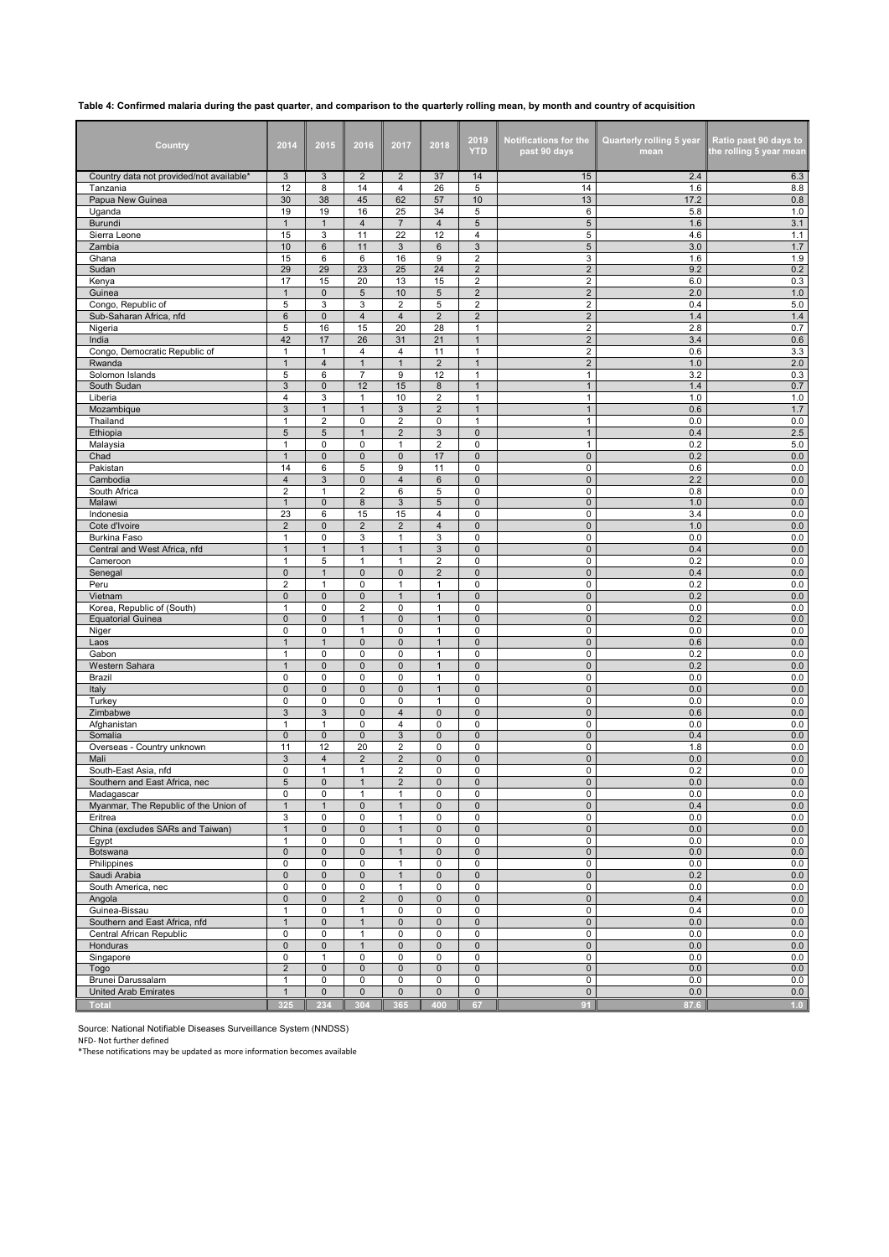## **Table 4: Confirmed malaria during the past quarter, and comparison to the quarterly rolling mean, by month and country of acquisition**

| Country                                                | 2014                         | 2015                           | 2016                           | 2017                                      | 2018                          | 2019<br><b>YTD</b>               | Notifications for the<br>past 90 days     | <b>Quarterly rolling 5 year</b><br>mean | Ratio past 90 days to<br>the rolling 5 year mean |
|--------------------------------------------------------|------------------------------|--------------------------------|--------------------------------|-------------------------------------------|-------------------------------|----------------------------------|-------------------------------------------|-----------------------------------------|--------------------------------------------------|
| Country data not provided/not available*               | 3                            | 3<br>8                         | $\overline{2}$<br>14           | $\overline{2}$<br>4                       | 37<br>26                      | 14<br>5                          | 15<br>14                                  | 2.4<br>1.6                              | 6.3                                              |
| Tanzania<br>Papua New Guinea                           | 12<br>30                     | 38                             | 45                             | 62                                        | 57                            | 10                               | 13                                        | 17.2                                    | 8.8<br>0.8                                       |
| Uganda                                                 | 19                           | 19                             | 16                             | 25                                        | 34                            | 5                                | 6                                         | 5.8                                     | $1.0$                                            |
| Burundi                                                | $\mathbf{1}$<br>15           | $\mathbf{1}$<br>3              | $\overline{4}$<br>11           | $\overline{7}$<br>22                      | 4<br>12                       | 5<br>4                           | 5<br>5                                    | 1.6<br>4.6                              | 3.1<br>1.1                                       |
| Sierra Leone<br>Zambia                                 | 10                           | 6                              | 11                             | 3                                         | 6                             | $\mathsf 3$                      | $\,$ 5 $\,$                               | 3.0                                     | 1.7                                              |
| Ghana                                                  | 15                           | 6                              | 6                              | 16                                        | 9                             | $\overline{2}$                   | 3                                         | 1.6                                     | 1.9                                              |
| Sudan<br>Kenya                                         | 29<br>17                     | 29<br>15                       | 23<br>20                       | 25<br>13                                  | 24<br>15                      | $\overline{2}$<br>$\overline{2}$ | $\overline{c}$<br>$\overline{2}$          | 9.2<br>6.0                              | 0.2<br>0.3                                       |
| Guinea                                                 | $\mathbf{1}$                 | $\pmb{0}$                      | 5                              | 10                                        | 5                             | $\overline{2}$                   | $\overline{2}$                            | 2.0                                     | $1.0$                                            |
| Congo, Republic of                                     | 5                            | 3                              | 3                              | 2                                         | 5                             | $\overline{2}$                   | $\overline{2}$                            | 0.4                                     | 5.0                                              |
| Sub-Saharan Africa, nfd<br>Nigeria                     | $\,6\,$<br>5                 | $\mathbf{0}$<br>16             | $\overline{4}$<br>15           | $\overline{4}$<br>20                      | $\overline{\mathbf{c}}$<br>28 | $\overline{2}$<br>$\mathbf{1}$   | $\overline{2}$<br>$\overline{\mathbf{c}}$ | 1.4<br>2.8                              | $1.4$<br>0.7                                     |
| India                                                  | 42                           | 17                             | 26                             | 31                                        | 21                            | $\mathbf{1}$                     | $\overline{2}$                            | 3.4                                     | 0.6                                              |
| Congo, Democratic Republic of                          | 1                            | 1                              | 4                              | 4                                         | 11                            | $\mathbf{1}$                     | $\overline{2}$                            | 0.6                                     | 3.3                                              |
| Rwanda<br>Solomon Islands                              | $\mathbf{1}$<br>5            | $\overline{4}$<br>6            | $\mathbf{1}$<br>$\overline{7}$ | $\mathbf{1}$<br>9                         | $\overline{2}$<br>12          | $\mathbf{1}$<br>$\mathbf{1}$     | $\overline{2}$<br>$\mathbf{1}$            | 1.0<br>3.2                              | 2.0<br>0.3                                       |
| South Sudan                                            | 3                            | $\pmb{0}$                      | 12                             | 15                                        | 8                             | $\mathbf{1}$                     | $\mathbf{1}$                              | 1.4                                     | 0.7                                              |
| Liberia                                                | 4                            | 3                              | $\mathbf{1}$                   | 10                                        | $\overline{\mathbf{c}}$       | $\mathbf{1}$                     | $\mathbf{1}$                              | 1.0                                     | 1.0                                              |
| Mozambique<br>Thailand                                 | $\mathbf{3}$<br>$\mathbf{1}$ | $\mathbf{1}$<br>$\overline{2}$ | $\mathbf{1}$<br>0              | 3<br>$\overline{2}$                       | $\overline{2}$<br>0           | $\mathbf{1}$<br>$\mathbf{1}$     | $\mathbf{1}$<br>$\mathbf{1}$              | 0.6<br>0.0                              | 1.7<br>0.0                                       |
| Ethiopia                                               | $\sqrt{5}$                   | 5                              | $\mathbf{1}$                   | $\overline{c}$                            | 3                             | $\mathbf 0$                      | $\mathbf{1}$                              | 0.4                                     | $2.5\,$                                          |
| Malaysia                                               | 1                            | 0                              | 0                              | 1                                         | 2                             | 0                                | $\mathbf{1}$                              | 0.2                                     | 5.0                                              |
| Chad                                                   | $\mathbf{1}$                 | $\mathbf{0}$                   | $\pmb{0}$                      | 0                                         | 17                            | $\pmb{0}$                        | $\mathsf{O}\xspace$                       | 0.2                                     | 0.0                                              |
| Pakistan<br>Cambodia                                   | 14<br>$\overline{4}$         | 6<br>3                         | 5<br>$\mathbf 0$               | 9<br>4                                    | 11<br>6                       | 0<br>$\mathbf 0$                 | 0<br>$\mathsf{O}\xspace$                  | 0.6<br>2.2                              | $0.0\,$<br>0.0                                   |
| South Africa                                           | $\overline{\mathbf{c}}$      | 1                              | $\overline{c}$                 | 6                                         | 5                             | $\mathsf 0$                      | 0                                         | 0.8                                     | 0.0                                              |
| Malawi                                                 | $\mathbf{1}$                 | 0                              | 8                              | 3                                         | 5                             | $\mathbf 0$                      | 0                                         | 1.0                                     | 0.0                                              |
| Indonesia<br>Cote d'Ivoire                             | 23<br>$\overline{2}$         | 6<br>$\pmb{0}$                 | 15<br>$\overline{2}$           | 15<br>$\sqrt{2}$                          | 4<br>$\overline{\mathbf{4}}$  | 0<br>$\mathsf{O}\xspace$         | 0<br>$\mathbf 0$                          | 3.4<br>1.0                              | 0.0<br>0.0                                       |
| Burkina Faso                                           | 1                            | 0                              | 3                              | $\mathbf{1}$                              | 3                             | $\mathbf 0$                      | 0                                         | 0.0                                     | 0.0                                              |
| Central and West Africa, nfd                           | $\mathbf{1}$                 | $\mathbf{1}$                   | $\mathbf{1}$                   | $\mathbf{1}$                              | 3                             | $\mathbf 0$                      | $\mathsf{O}\xspace$                       | 0.4                                     | $0.0\,$                                          |
| Cameroon<br>Senegal                                    | 1<br>$\pmb{0}$               | 5<br>$\mathbf{1}$              | 1<br>$\pmb{0}$                 | $\mathbf{1}$<br>0                         | 2<br>$\overline{2}$           | 0<br>$\pmb{0}$                   | 0<br>$\mathbf 0$                          | 0.2<br>0.4                              | 0.0<br>0.0                                       |
| Peru                                                   | $\overline{c}$               | 1                              | $\mathbf 0$                    | 1                                         | 1                             | 0                                | 0                                         | 0.2                                     | 0.0                                              |
| Vietnam                                                | $\mathsf 0$                  | $\mathbf{0}$                   | $\mathbf 0$                    | $\mathbf{1}$                              | $\mathbf{1}$                  | $\mathbf 0$                      | $\mathsf{O}\xspace$                       | 0.2                                     | 0.0                                              |
| Korea, Republic of (South)<br><b>Equatorial Guinea</b> | $\mathbf{1}$<br>$\pmb{0}$    | 0<br>0                         | $\overline{c}$<br>$\mathbf 1$  | 0<br>0                                    | 1<br>$\mathbf{1}$             | $\mathsf 0$<br>$\mathbf 0$       | 0<br>0                                    | 0.0<br>0.2                              | 0.0<br>0.0                                       |
| Niger                                                  | $\mathbf 0$                  | 0                              | $\mathbf{1}$                   | 0                                         | 1                             | 0                                | 0                                         | 0.0                                     | 0.0                                              |
| Laos                                                   | $\mathbf{1}$                 | $\mathbf{1}$                   | $\mathbf 0$                    | $\mathbf 0$                               | $\mathbf{1}$                  | $\mathsf{O}\xspace$              | $\mathsf{O}\xspace$                       | 0.6                                     | 0.0                                              |
| Gabon<br>Western Sahara                                | $\mathbf{1}$<br>$\mathbf{1}$ | 0<br>$\mathbf{0}$              | 0<br>$\mathbf 0$               | 0<br>$\pmb{0}$                            | $\mathbf{1}$<br>$\mathbf{1}$  | 0<br>$\mathbf 0$                 | 0<br>$\mathsf{O}\xspace$                  | 0.2<br>0.2                              | 0.0<br>$0.0\,$                                   |
| Brazil                                                 | 0                            | 0                              | 0                              | 0                                         | 1                             | 0                                | 0                                         | 0.0                                     | 0.0                                              |
| Italy                                                  | $\mathbf 0$                  | 0                              | $\mathbf 0$                    | 0                                         | $\mathbf{1}$                  | $\mathbf 0$                      | $\mathsf{O}\xspace$                       | 0.0                                     | 0.0                                              |
| Turkey                                                 | $\mathbf 0$                  | 0<br>3                         | 0                              | 0                                         | $\mathbf{1}$<br>0             | 0<br>$\mathbf 0$                 | 0                                         | 0.0<br>0.6                              | $0.0\,$<br>0.0                                   |
| Zimbabwe<br>Afghanistan                                | $\sqrt{3}$<br>$\mathbf{1}$   | $\mathbf{1}$                   | $\mathbf 0$<br>$\mathbf 0$     | 4<br>4                                    | 0                             | $\mathsf 0$                      | $\mathsf{O}\xspace$<br>0                  | 0.0                                     | 0.0                                              |
| Somalia                                                | $\mathbf 0$                  | 0                              | $\mathbf 0$                    | 3                                         | 0                             | $\mathbf 0$                      | 0                                         | 0.4                                     | 0.0                                              |
| Overseas - Country unknown                             | 11                           | 12                             | 20<br>$\overline{2}$           | $\overline{2}$                            | 0                             | 0                                | $\mathbf 0$                               | 1.8                                     | 0.0                                              |
| Mali<br>South-East Asia, nfd                           | $\mathbf{3}$<br>0            | $\overline{4}$<br>1            | 1                              | $\overline{2}$<br>$\overline{\mathbf{c}}$ | $\mathsf 0$<br>0              | $\mathsf 0$<br>$\mathbf 0$       | $\mathsf{O}\xspace$<br>0                  | 0.0<br>0.2                              | $0.0\,$<br>0.0                                   |
| Southern and East Africa, nec                          | 5                            | $\Omega$                       | $\mathbf{1}$                   | $\overline{2}$                            | $\mathbf{0}$                  | $\mathbf{0}$                     | $\mathbf{0}$                              | 0.0                                     | 0.0                                              |
| Madagascar                                             | 0                            | 0                              | 1                              | 1                                         | 0                             | 0                                | 0                                         | 0.0                                     | 0.0                                              |
| Myanmar, The Republic of the Union of<br>Eritrea       | $\mathbf{1}$<br>3            | $\mathbf{1}$<br>0              | $\pmb{0}$<br>0                 | $\mathbf{1}$<br>$\mathbf{1}$              | 0<br>0                        | $\pmb{0}$<br>0                   | $\mathsf{O}\xspace$<br>0                  | 0.4<br>0.0                              | 0.0<br>0.0                                       |
| China (excludes SARs and Taiwan)                       | $\mathbf{1}$                 | $\mathbf{0}$                   | $\mathbf 0$                    | 1                                         | 0                             | $\mathsf 0$                      | $\mathbf 0$                               | 0.0                                     | 0.0                                              |
| Egypt                                                  | $\mathbf{1}$                 | 0                              | 0                              | $\mathbf{1}$                              | 0                             | $\mathsf 0$                      | 0                                         | 0.0                                     | 0.0                                              |
| Botswana<br>Philippines                                | $\mathsf 0$<br>$\mathbf 0$   | $\pmb{0}$<br>$\pmb{0}$         | $\mathsf 0$<br>$\mathbf 0$     | $\mathbf{1}$<br>$\mathbf{1}$              | 0<br>0                        | $\mathbf 0$<br>0                 | $\mathbf 0$<br>$\mathbf 0$                | 0.0<br>0.0                              | 0.0<br>0.0                                       |
| Saudi Arabia                                           | $\pmb{0}$                    | $\pmb{0}$                      | $\mathsf{O}\xspace$            | $\mathbf{1}$                              | $\mathbf 0$                   | $\pmb{0}$                        | $\mathsf{O}\xspace$                       | 0.2                                     | 0.0                                              |
| South America, nec                                     | 0                            | $\mathbf 0$                    | 0                              | $\mathbf{1}$                              | 0                             | 0                                | 0                                         | 0.0                                     | 0.0                                              |
| Angola<br>Guinea-Bissau                                | $\mathbf 0$<br>$\mathbf{1}$  | $\mathbf 0$<br>0               | $\sqrt{2}$<br>$\mathbf{1}$     | $\mathsf 0$<br>0                          | $\pmb{0}$<br>0                | $\mathsf{O}\xspace$<br>0         | $\mathsf{O}\xspace$<br>0                  | 0.4<br>0.4                              | 0.0<br>0.0                                       |
| Southern and East Africa, nfd                          | $\mathbf{1}$                 | $\pmb{0}$                      | $\mathbf{1}$                   | $\pmb{0}$                                 | $\pmb{0}$                     | $\mathsf{O}\xspace$              | $\mathsf{O}\xspace$                       | 0.0                                     | 0.0                                              |
| Central African Republic                               | 0                            | 0                              | $\mathbf{1}$                   | 0                                         | 0                             | 0                                | 0                                         | 0.0                                     | 0.0                                              |
| Honduras<br>Singapore                                  | $\mathsf 0$<br>0             | $\mathbf 0$<br>$\mathbf{1}$    | $\mathbf{1}$<br>0              | $\mathbf 0$<br>$\pmb{0}$                  | 0<br>0                        | $\mathsf 0$<br>$\mathsf 0$       | $\mathbf 0$<br>0                          | 0.0<br>0.0                              | 0.0<br>0.0                                       |
| Togo                                                   | $\overline{2}$               | $\pmb{0}$                      | $\mathbf 0$                    | 0                                         | 0                             | $\pmb{0}$                        | $\mathbf 0$                               | 0.0                                     | 0.0                                              |
| Brunei Darussalam                                      | $\mathbf{1}$                 | 0                              | $\pmb{0}$                      | 0                                         | 0                             | 0                                | $\mathbf 0$                               | 0.0                                     | 0.0                                              |
| <b>United Arab Emirates</b>                            | $\mathbf{1}$                 | $\pmb{0}$                      | $\mathsf{O}\xspace$            | $\pmb{0}$                                 | $\pmb{0}$                     | $\mathsf 0$                      | $\mathsf{O}\xspace$                       | 0.0                                     | 0.0                                              |
| <b>Total</b>                                           | 325                          | 234                            | 304                            | 365                                       | 400                           | 67                               | 91                                        | 87.6                                    | 1.0                                              |

Source: National Notifiable Diseases Surveillance System (NNDSS) NFD- Not further defined